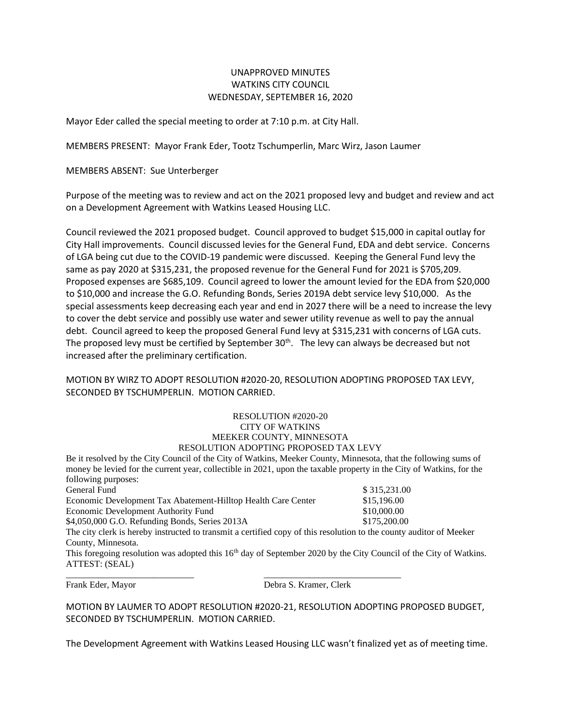## UNAPPROVED MINUTES WATKINS CITY COUNCIL WEDNESDAY, SEPTEMBER 16, 2020

Mayor Eder called the special meeting to order at 7:10 p.m. at City Hall.

MEMBERS PRESENT: Mayor Frank Eder, Tootz Tschumperlin, Marc Wirz, Jason Laumer

MEMBERS ABSENT: Sue Unterberger

Purpose of the meeting was to review and act on the 2021 proposed levy and budget and review and act on a Development Agreement with Watkins Leased Housing LLC.

Council reviewed the 2021 proposed budget. Council approved to budget \$15,000 in capital outlay for City Hall improvements. Council discussed levies for the General Fund, EDA and debt service. Concerns of LGA being cut due to the COVID-19 pandemic were discussed. Keeping the General Fund levy the same as pay 2020 at \$315,231, the proposed revenue for the General Fund for 2021 is \$705,209. Proposed expenses are \$685,109. Council agreed to lower the amount levied for the EDA from \$20,000 to \$10,000 and increase the G.O. Refunding Bonds, Series 2019A debt service levy \$10,000. As the special assessments keep decreasing each year and end in 2027 there will be a need to increase the levy to cover the debt service and possibly use water and sewer utility revenue as well to pay the annual debt. Council agreed to keep the proposed General Fund levy at \$315,231 with concerns of LGA cuts. The proposed levy must be certified by September  $30<sup>th</sup>$ . The levy can always be decreased but not increased after the preliminary certification.

## MOTION BY WIRZ TO ADOPT RESOLUTION #2020-20, RESOLUTION ADOPTING PROPOSED TAX LEVY, SECONDED BY TSCHUMPERLIN. MOTION CARRIED.

## RESOLUTION #2020-20 CITY OF WATKINS MEEKER COUNTY, MINNESOTA RESOLUTION ADOPTING PROPOSED TAX LEVY

Be it resolved by the City Council of the City of Watkins, Meeker County, Minnesota, that the following sums of money be levied for the current year, collectible in 2021, upon the taxable property in the City of Watkins, for the following purposes:

| General Fund                                                                                                                                           | \$315,231.00                               |
|--------------------------------------------------------------------------------------------------------------------------------------------------------|--------------------------------------------|
| Economic Development Tax Abatement-Hilltop Health Care Center<br>Economic Development Authority Fund<br>\$4,050,000 G.O. Refunding Bonds, Series 2013A | \$15,196.00<br>\$10,000.00<br>\$175,200.00 |

\_\_\_\_\_\_\_\_\_\_\_\_\_\_\_\_\_\_\_\_\_\_\_\_\_\_\_\_ \_\_\_\_\_\_\_\_\_\_\_\_\_\_\_\_\_\_\_\_\_\_\_\_\_\_\_\_\_\_

The city clerk is hereby instructed to transmit a certified copy of this resolution to the county auditor of Meeker County, Minnesota.

This foregoing resolution was adopted this  $16<sup>th</sup>$  day of September 2020 by the City Council of the City of Watkins. ATTEST: (SEAL)

Frank Eder, Mayor Debra S. Kramer, Clerk

MOTION BY LAUMER TO ADOPT RESOLUTION #2020-21, RESOLUTION ADOPTING PROPOSED BUDGET, SECONDED BY TSCHUMPERLIN. MOTION CARRIED.

The Development Agreement with Watkins Leased Housing LLC wasn't finalized yet as of meeting time.